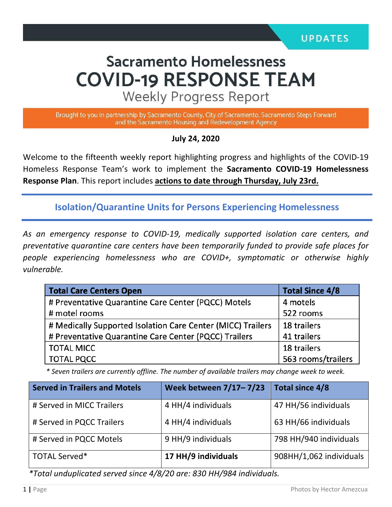# **Sacramento Homelessness COVID-19 RESPONSE TEAM**

**Weekly Progress Report** 

Brought to you in partnership by Sacramento County, City of Sacramento, Sacramento Steps Forward and the Sacramento Housing and Redevelopment Agency

**July 24, 2020**

Welcome to the fifteenth weekly report highlighting progress and highlights of the COVID-19 Homeless Response Team's work to implement the **Sacramento COVID-19 Homelessness Response Plan**. This report includes **actions to date through Thursday, July 23rd.**

**Isolation/Quarantine Units for Persons Experiencing Homelessness**

*As an emergency response to COVID-19, medically supported isolation care centers, and preventative quarantine care centers have been temporarily funded to provide safe places for people experiencing homelessness who are COVID+, symptomatic or otherwise highly vulnerable.*

| <b>Total Care Centers Open</b>                              | <b>Total Since 4/8</b> |  |
|-------------------------------------------------------------|------------------------|--|
| # Preventative Quarantine Care Center (PQCC) Motels         | 4 motels               |  |
| # motel rooms                                               | 522 rooms              |  |
| # Medically Supported Isolation Care Center (MICC) Trailers | 18 trailers            |  |
| # Preventative Quarantine Care Center (PQCC) Trailers       | 41 trailers            |  |
| <b>TOTAL MICC</b>                                           | 18 trailers            |  |
| <b>TOTAL PQCC</b>                                           | 563 rooms/trailers     |  |

 *\* Seven trailers are currently offline. The number of available trailers may change week to week.*

| <b>Served in Trailers and Motels</b> | Week between 7/17-7/23 | Total since 4/8         |
|--------------------------------------|------------------------|-------------------------|
| # Served in MICC Trailers            | 4 HH/4 individuals     | 47 HH/56 individuals    |
| # Served in PQCC Trailers            | 4 HH/4 individuals     | 63 HH/66 individuals    |
| # Served in PQCC Motels              | 9 HH/9 individuals     | 798 HH/940 individuals  |
| TOTAL Served*                        | 17 HH/9 individuals    | 908HH/1,062 individuals |

*\*Total unduplicated served since 4/8/20 are: 830 HH/984 individuals.*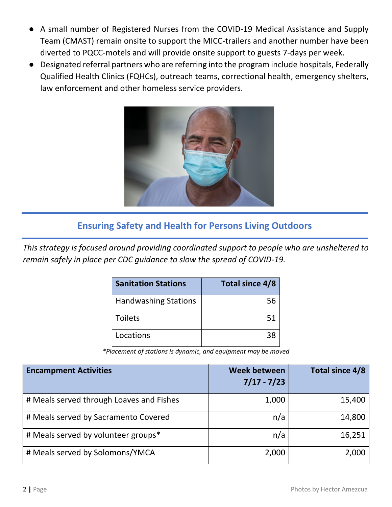- A small number of Registered Nurses from the COVID-19 Medical Assistance and Supply Team (CMAST) remain onsite to support the MICC-trailers and another number have been diverted to PQCC-motels and will provide onsite support to guests 7-days per week.
- Designated referral partners who are referring into the program include hospitals, Federally Qualified Health Clinics (FQHCs), outreach teams, correctional health, emergency shelters, law enforcement and other homeless service providers.



## **Ensuring Safety and Health for Persons Living Outdoors**

*This strategy is focused around providing coordinated support to people who are unsheltered to remain safely in place per CDC guidance to slow the spread of COVID-19.*

| <b>Sanitation Stations</b>  | Total since 4/8 |
|-----------------------------|-----------------|
| <b>Handwashing Stations</b> | 56              |
| <b>Toilets</b>              | 51              |
| Locations                   | 38              |

 *\*Placement of stations is dynamic, and equipment may be moved*

| <b>Encampment Activities</b>             | <b>Week between</b><br>$7/17 - 7/23$ | Total since 4/8 |
|------------------------------------------|--------------------------------------|-----------------|
| # Meals served through Loaves and Fishes | 1,000                                | 15,400          |
| # Meals served by Sacramento Covered     | n/a                                  | 14,800          |
| # Meals served by volunteer groups*      | n/a                                  | 16,251          |
| # Meals served by Solomons/YMCA          | 2,000                                | 2,000           |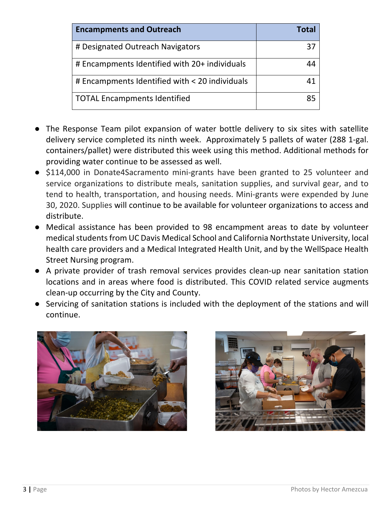| <b>Encampments and Outreach</b>                | Total |
|------------------------------------------------|-------|
| # Designated Outreach Navigators               | 37    |
| # Encampments Identified with 20+ individuals  |       |
| # Encampments Identified with < 20 individuals |       |
| <b>TOTAL Encampments Identified</b>            | 85    |

- The Response Team pilot expansion of water bottle delivery to six sites with satellite delivery service completed its ninth week. Approximately 5 pallets of water (288 1-gal. containers/pallet) were distributed this week using this method. Additional methods for providing water continue to be assessed as well.
- \$114,000 in Donate4Sacramento mini-grants have been granted to 25 volunteer and service organizations to distribute meals, sanitation supplies, and survival gear, and to tend to health, transportation, and housing needs. Mini-grants were expended by June 30, 2020. Supplies will continue to be available for volunteer organizations to access and distribute.
- Medical assistance has been provided to 98 encampment areas to date by volunteer medical students from UC Davis Medical School and California Northstate University, local health care providers and a Medical Integrated Health Unit, and by the WellSpace Health Street Nursing program.
- A private provider of trash removal services provides clean-up near sanitation station locations and in areas where food is distributed. This COVID related service augments clean-up occurring by the City and County.
- Servicing of sanitation stations is included with the deployment of the stations and will continue.



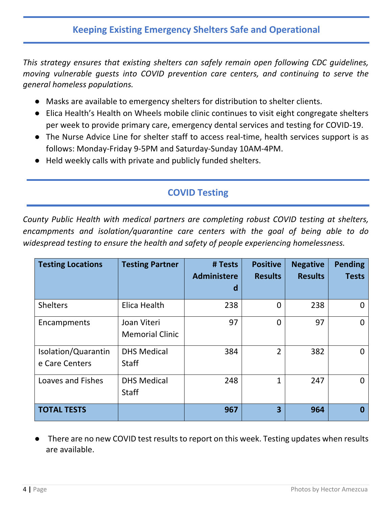#### **Keeping Existing Emergency Shelters Safe and Operational**

*This strategy ensures that existing shelters can safely remain open following CDC guidelines, moving vulnerable guests into COVID prevention care centers, and continuing to serve the general homeless populations.* 

- Masks are available to emergency shelters for distribution to shelter clients.
- Elica Health's Health on Wheels mobile clinic continues to visit eight congregate shelters per week to provide primary care, emergency dental services and testing for COVID-19.
- The Nurse Advice Line for shelter staff to access real-time, health services support is as follows: Monday-Friday 9-5PM and Saturday-Sunday 10AM-4PM.
- Held weekly calls with private and publicly funded shelters.

## **COVID Testing**

*County Public Health with medical partners are completing robust COVID testing at shelters, encampments and isolation/quarantine care centers with the goal of being able to do widespread testing to ensure the health and safety of people experiencing homelessness.* 

| <b>Testing Locations</b>              | <b>Testing Partner</b>                | # Tests<br>Administere<br>d | <b>Positive</b><br><b>Results</b> | <b>Negative</b><br><b>Results</b> | <b>Pending</b><br><b>Tests</b> |
|---------------------------------------|---------------------------------------|-----------------------------|-----------------------------------|-----------------------------------|--------------------------------|
| <b>Shelters</b>                       | Elica Health                          | 238                         | 0                                 | 238                               |                                |
| Encampments                           | Joan Viteri<br><b>Memorial Clinic</b> | 97                          | $\overline{0}$                    | 97                                | O                              |
| Isolation/Quarantin<br>e Care Centers | <b>DHS Medical</b><br><b>Staff</b>    | 384                         | $\overline{2}$                    | 382                               | O                              |
| <b>Loaves and Fishes</b>              | <b>DHS Medical</b><br><b>Staff</b>    | 248                         | 1                                 | 247                               |                                |
| <b>TOTAL TESTS</b>                    |                                       | 967                         | $\overline{\mathbf{3}}$           | 964                               | Ω                              |

There are no new COVID test results to report on this week. Testing updates when results are available.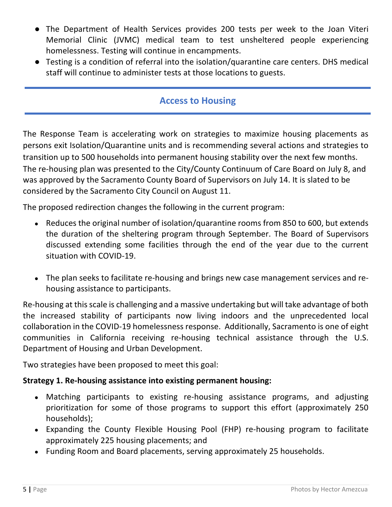- The Department of Health Services provides 200 tests per week to the Joan Viteri Memorial Clinic (JVMC) medical team to test unsheltered people experiencing homelessness. Testing will continue in encampments.
- Testing is a condition of referral into the isolation/quarantine care centers. DHS medical staff will continue to administer tests at those locations to guests.

#### **Access to Housing**

The Response Team is accelerating work on strategies to maximize housing placements as persons exit Isolation/Quarantine units and is recommending several actions and strategies to transition up to 500 households into permanent housing stability over the next few months. The re-housing plan was presented to the City/County Continuum of Care Board on July 8, and was approved by the Sacramento County Board of Supervisors on July 14. It is slated to be considered by the Sacramento City Council on August 11.

The proposed redirection changes the following in the current program:

- Reduces the original number of isolation/quarantine rooms from 850 to 600, but extends the duration of the sheltering program through September. The Board of Supervisors discussed extending some facilities through the end of the year due to the current situation with COVID-19.
- The plan seeks to facilitate re-housing and brings new case management services and rehousing assistance to participants.

Re-housing at this scale is challenging and a massive undertaking but will take advantage of both the increased stability of participants now living indoors and the unprecedented local collaboration in the COVID-19 homelessness response. Additionally, Sacramento is one of eight communities in California receiving re-housing technical assistance through the U.S. Department of Housing and Urban Development.

Two strategies have been proposed to meet this goal:

#### **Strategy 1. Re-housing assistance into existing permanent housing:**

- Matching participants to existing re-housing assistance programs, and adjusting prioritization for some of those programs to support this effort (approximately 250 households);
- Expanding the County Flexible Housing Pool (FHP) re-housing program to facilitate approximately 225 housing placements; and
- Funding Room and Board placements, serving approximately 25 households.